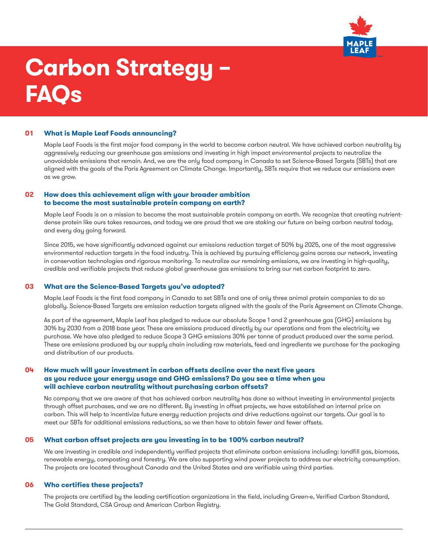

# **Carbon Strategy – FAQs**

### **01 What is Maple Leaf Foods announcing?**

Maple Leaf Foods is the first major food company in the world to become carbon neutral. We have achieved carbon neutrality by aggressively reducing our greenhouse gas emissions and investing in high impact environmental projects to neutralize the unavoidable emissions that remain. And, we are the only food company in Canada to set Science-Based Targets (SBTs) that are aligned with the goals of the Paris Agreement on Climate Change. Importantly, SBTs require that we reduce our emissions even as we grow.

## **02 How does this achievement align with your broader ambition to become the most sustainable protein company on earth?**

Maple Leaf Foods is on a mission to become the most sustainable protein company on earth. We recognize that creating nutrientdense protein like ours takes resources, and today we are proud that we are staking our future on being carbon neutral today, and every day going forward.

Since 2015, we have significantly advanced against our emissions reduction target of 50% by 2025, one of the most aggressive environmental reduction targets in the food industry. This is achieved by pursuing efficiency gains across our network, investing in conservation technologies and rigorous monitoring. To neutralize our remaining emissions, we are investing in high-quality, credible and verifiable projects that reduce global greenhouse gas emissions to bring our net carbon footprint to zero.

### **03 What are the Science-Based Targets you've adopted?**

Maple Leaf Foods is the first food company in Canada to set SBTs and one of only three animal protein companies to do so globally. Science-Based Targets are emission reduction targets aligned with the goals of the Paris Agreement on Climate Change.

As part of the agreement, Maple Leaf has pledged to reduce our absolute Scope 1 and 2 greenhouse gas (GHG) emissions by 30% by 2030 from a 2018 base year. These are emissions produced directly by our operations and from the electricity we purchase. We have also pledged to reduce Scope 3 GHG emissions 30% per tonne of product produced over the same period. These are emissions produced by our supply chain including raw materials, feed and ingredients we purchase for the packaging and distribution of our products.

## **04 How much will your investment in carbon offsets decline over the next five years as you reduce your energy usage and GHG emissions? Do you see a time when you will achieve carbon neutrality without purchasing carbon offsets?**

No company that we are aware of that has achieved carbon neutrality has done so without investing in environmental projects through offset purchases, and we are no different. By investing in offset projects, we have established an internal price on carbon. This will help to incentivize future energy reduction projects and drive reductions against our targets. Our goal is to meet our SBTs for additional emissions reductions, so we then have to obtain fewer and fewer offsets.

#### **05 What carbon offset projects are you investing in to be 100% carbon neutral?**

We are investing in credible and independently verified projects that eliminate carbon emissions including: landfill gas, biomass, renewable energy, composting and forestry. We are also supporting wind power projects to address our electricity consumption. The projects are located throughout Canada and the United States and are verifiable using third parties.

## **06 Who certifies these projects?**

The projects are certified by the leading certification organizations in the field, including Green-e, Verified Carbon Standard, The Gold Standard, CSA Group and American Carbon Registry.